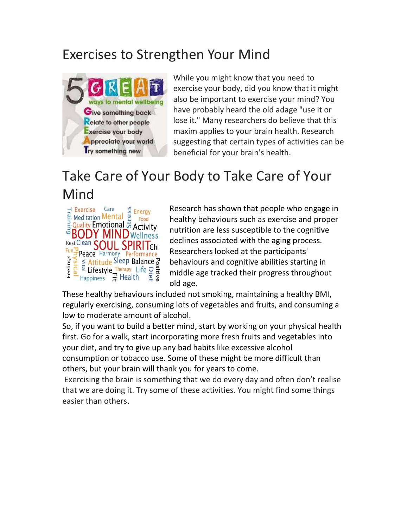#### Exercises to Strengthen Your Mind



While you might know that you need to exercise your body, did you know that it might also be important to exercise your mind? You have probably heard the old adage "use it or lose it." Many researchers do believe that this maxim applies to your brain health. Research suggesting that certain types of activities can be beneficial for your brain's health.

### Take Care of Your Body to Take Care of Your Mind



Research has shown that people who engage in healthy behaviours such as exercise and proper nutrition are less susceptible to the cognitive declines associated with the aging process. Researchers looked at the participants' behaviours and cognitive abilities starting in middle age tracked their progress throughout old age.

These healthy behaviours included not smoking, maintaining a healthy BMI, regularly exercising, consuming lots of vegetables and fruits, and consuming a low to moderate amount of alcohol.

So, if you want to build a better mind, start by working on your physical health first. Go for a walk, start incorporating more fresh fruits and vegetables into your diet, and try to give up any bad habits like excessive alcohol consumption or tobacco use. Some of these might be more difficult than others, but your brain will thank you for years to come.

Exercising the brain is something that we do every day and often don't realise that we are doing it. Try some of these activities. You might find some things easier than others.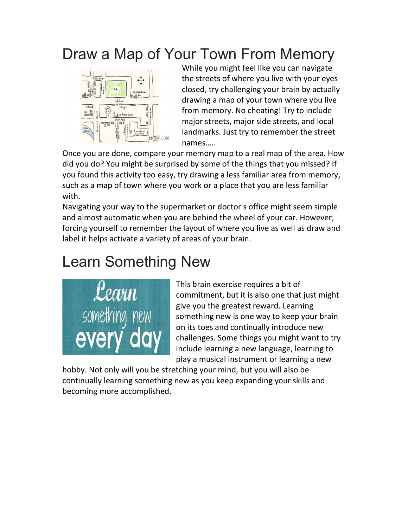## Draw a Map of Your Town From Memory



While you might feel like you can navigate the streets of where you live with your eyes closed, try challenging your brain by actually drawing a map of your town where you live from memory. No cheating! Try to include major streets, major side streets, and local landmarks. Just try to remember the street names…..

Once you are done, compare your memory map to a real map of the area. How did you do? You might be surprised by some of the things that you missed? If you found this activity too easy, try drawing a less familiar area from memory, such as a map of town where you work or a place that you are less familiar with.

Navigating your way to the supermarket or doctor's office might seem simple and almost automatic when you are behind the wheel of your car. However, forcing yourself to remember the layout of where you live as well as draw and label it helps activate a variety of areas of your brain.

# Learn Something New



This brain exercise requires a bit of commitment, but it is also one that just might give you the greatest reward. Learning something new is one way to keep your brain on its toes and continually introduce new challenges. Some things you might want to try include learning a new language, learning to play a musical instrument or learning a new

hobby. Not only will you be stretching your mind, but you will also be continually learning something new as you keep expanding your skills and becoming more accomplished.